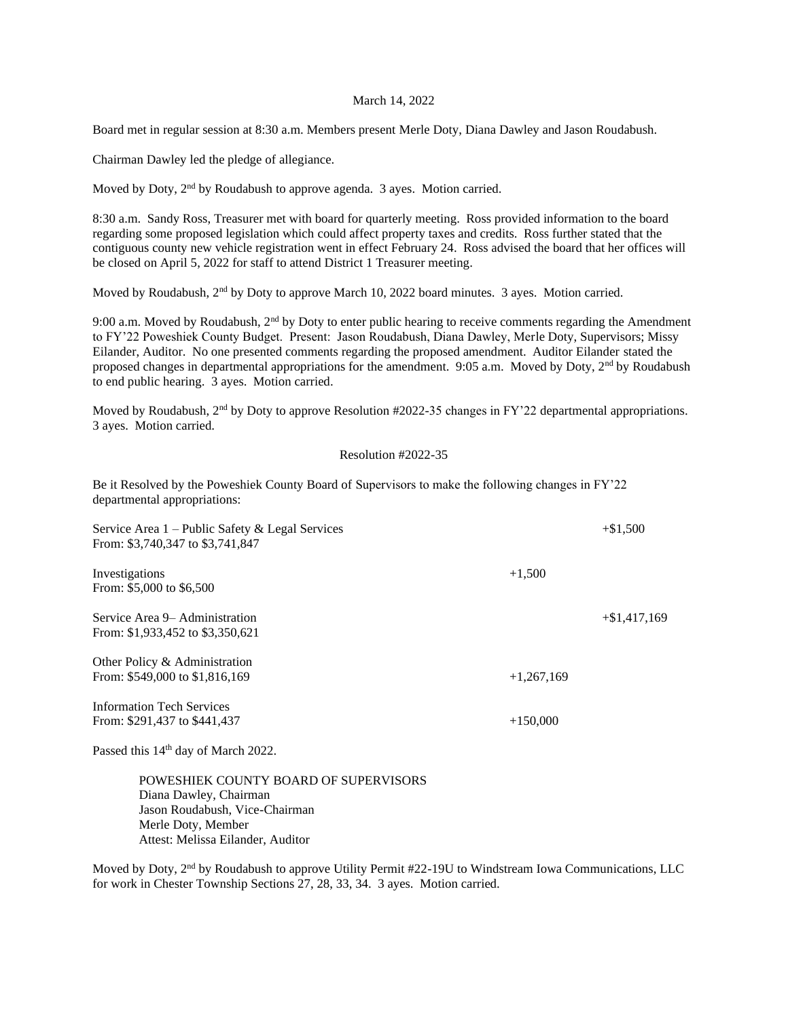## March 14, 2022

Board met in regular session at 8:30 a.m. Members present Merle Doty, Diana Dawley and Jason Roudabush.

Chairman Dawley led the pledge of allegiance.

Moved by Doty, 2<sup>nd</sup> by Roudabush to approve agenda. 3 ayes. Motion carried.

8:30 a.m. Sandy Ross, Treasurer met with board for quarterly meeting. Ross provided information to the board regarding some proposed legislation which could affect property taxes and credits. Ross further stated that the contiguous county new vehicle registration went in effect February 24. Ross advised the board that her offices will be closed on April 5, 2022 for staff to attend District 1 Treasurer meeting.

Moved by Roudabush,  $2<sup>nd</sup>$  by Doty to approve March 10, 2022 board minutes. 3 ayes. Motion carried.

9:00 a.m. Moved by Roudabush,  $2<sup>nd</sup>$  by Doty to enter public hearing to receive comments regarding the Amendment to FY'22 Poweshiek County Budget. Present: Jason Roudabush, Diana Dawley, Merle Doty, Supervisors; Missy Eilander, Auditor. No one presented comments regarding the proposed amendment. Auditor Eilander stated the proposed changes in departmental appropriations for the amendment. 9:05 a.m. Moved by Doty,  $2<sup>nd</sup>$  by Roudabush to end public hearing. 3 ayes. Motion carried.

Moved by Roudabush, 2<sup>nd</sup> by Doty to approve Resolution #2022-35 changes in FY'22 departmental appropriations. 3 ayes. Motion carried.

## Resolution #2022-35

Be it Resolved by the Poweshiek County Board of Supervisors to make the following changes in FY'22 departmental appropriations:

| Service Area $1$ – Public Safety & Legal Services<br>From: \$3,740,347 to \$3,741,847 |              | $+\$1.500$     |
|---------------------------------------------------------------------------------------|--------------|----------------|
| Investigations<br>From: \$5,000 to \$6,500                                            | $+1,500$     |                |
| Service Area 9– Administration<br>From: \$1,933,452 to \$3,350,621                    |              | $+\$1,417,169$ |
| Other Policy & Administration<br>From: \$549,000 to \$1,816,169                       | $+1,267,169$ |                |
| <b>Information Tech Services</b><br>From: \$291,437 to \$441,437                      | $+150,000$   |                |

Passed this 14<sup>th</sup> day of March 2022.

POWESHIEK COUNTY BOARD OF SUPERVISORS Diana Dawley, Chairman Jason Roudabush, Vice-Chairman Merle Doty, Member Attest: Melissa Eilander, Auditor

Moved by Doty, 2<sup>nd</sup> by Roudabush to approve Utility Permit #22-19U to Windstream Iowa Communications, LLC for work in Chester Township Sections 27, 28, 33, 34. 3 ayes. Motion carried.